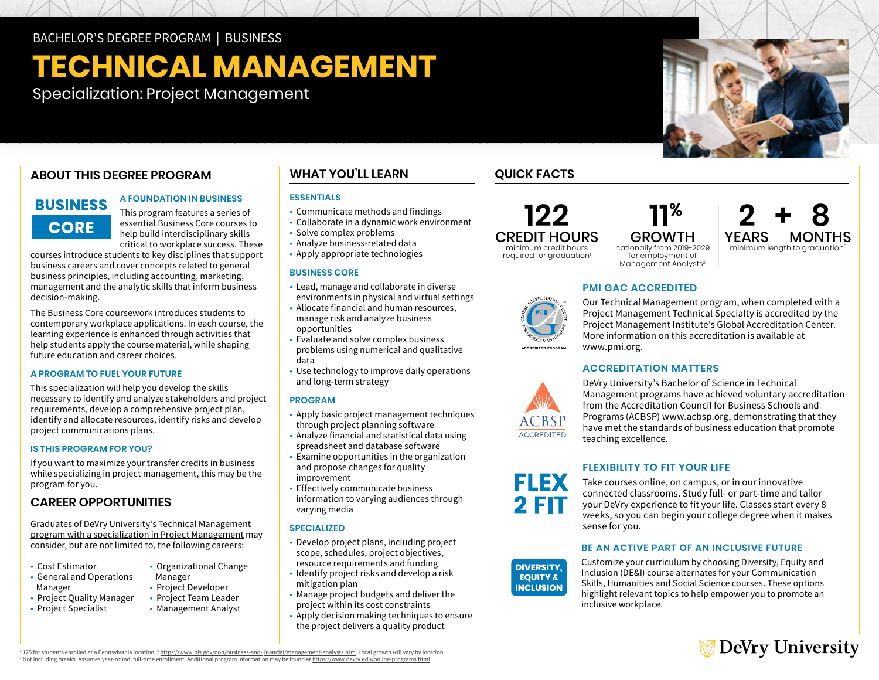BACHELOR'S DEGREE PROGRAM | BUSINESS

# **TECHNICAL MANAGEMENT**

Specialization: Project Management

# **ABOUT THIS DEGREE PROGRAM**

# **BUSINESS CORE**

This program features a series of essential Business Core courses to help build interdisciplinary skills critical to workplace success. These

**A FOUNDATION IN BUSINESS** 

courses introduce students to key disciplines that support business careers and cover concepts related to general business principles, including accounting, marketing, management and the analytic skills that inform business decision-making.

The Business Core coursework introduces students to contemporary workplace applications. In each course, the learning experience is enhanced through activities that help students apply the course material, while shaping future education and career choices.

## **A PROGRAM TO FUEL YOUR FUTURE**

This specialization will help you develop the skills necessary to identify and analyze stakeholders and project requirements, develop a comprehensive project plan, identify and allocate resources, identify risks and develop project communications plans.

## **IS THIS PROGRAM FOR YOU?**

If you want to maximize your transfer credits in business while specializing in project management, this may be the program for you.

# **CAREER OPPORTUNITIES**

Graduates of DeVry University's [Technical Management](https://www.devry.edu/online-programs/bachelors-degrees/business/project-management-specialization.html)  [program with a specialization in Project Management](https://www.devry.edu/online-programs/bachelors-degrees/business/project-management-specialization.html) may consider, but are not limited to, the following careers:

- Cost Estimator
- General and Operations Manager
- Project Quality Manager
- Project Specialist
- Project Developer • Project Team Leader

• Organizational Change

• Management Analyst

Manager

# **WHAT YOU'LL LEARN**

# **ESSENTIALS**

- Communicate methods and findings
- Collaborate in a dynamic work environment
- Solve complex problems
- Analyze business-related data
- Apply appropriate technologies

### **BUSINESS CORE**

- Lead, manage and collaborate in diverse environments in physical and virtual settings
- Allocate financial and human resources, manage risk and analyze business
- opportunities • Evaluate and solve complex business
- problems using numerical and qualitative data
- Use technology to improve daily operations and long-term strategy

## **PROGRAM**

- Apply basic project management techniques through project planning software
- Analyze financial and statistical data using spreadsheet and database software
- Examine opportunities in the organization and propose changes for quality improvement
- Effectively communicate business information to varying audiences through varying media

## **SPECIALIZED**

- Develop project plans, including project scope, schedules, project objectives, resource requirements and funding
- Identify project risks and develop a risk mitigation plan
- Manage project budgets and deliver the
- project within its cost constraints
- Apply decision making techniques to ensure the project delivers a quality product

# **QUICK FACTS**



**11% 2**<br>GROWTH YEARS nationally from 2019-2029 for employment of

# **MONTHS** minimum length to graduation<sup>3</sup>

# **PMI GAC ACCREDITED**

Our Technical Management program, when completed with a Project Management Technical Specialty is accredited by the Project Management Institute's Global Accreditation Center. More information on this accreditation is available at [www.pmi.org](http://www.pmi.org).

# **ACCREDITATION MATTERS**



**FLEX** 

2 FIT

**DIVERSITY, EQUITY & INCLUSION** 

DeVry University's Bachelor of Science in Technical Management programs have achieved voluntary accreditation from the Accreditation Council for Business Schools and Programs (ACBSP) [www.acbsp.org](http://www.acbsp.org), demonstrating that they have met the standards of business education that promote teaching excellence.

# **FLEXIBILITY TO FIT YOUR LIFE**

Take courses online, on campus, or in our innovative connected classrooms. Study full- or part-time and tailor your DeVry experience to fit your life. Classes start every 8 weeks, so you can begin your college degree when it makes sense for you.

## **BE AN ACTIVE PART OF AN INCLUSIVE FUTURE**

Customize your curriculum by choosing Diversity, Equity and Inclusion (DE&I) course alternates for your Communication Skills, Humanities and Social Science courses. These options highlight relevant topics to help empower you to promote an inclusive workplace.



<sup>1</sup>125 for students enrolled at a Pennsylvania location.<sup>2</sup> https://www.bls.gov/ooh/business-and-inancial/management-analysts.htm. Local growth will vary by location.<br><sup>3</sup> Not including breaks. Assumes year-round, full-time

required for graduation<sup>1</sup>